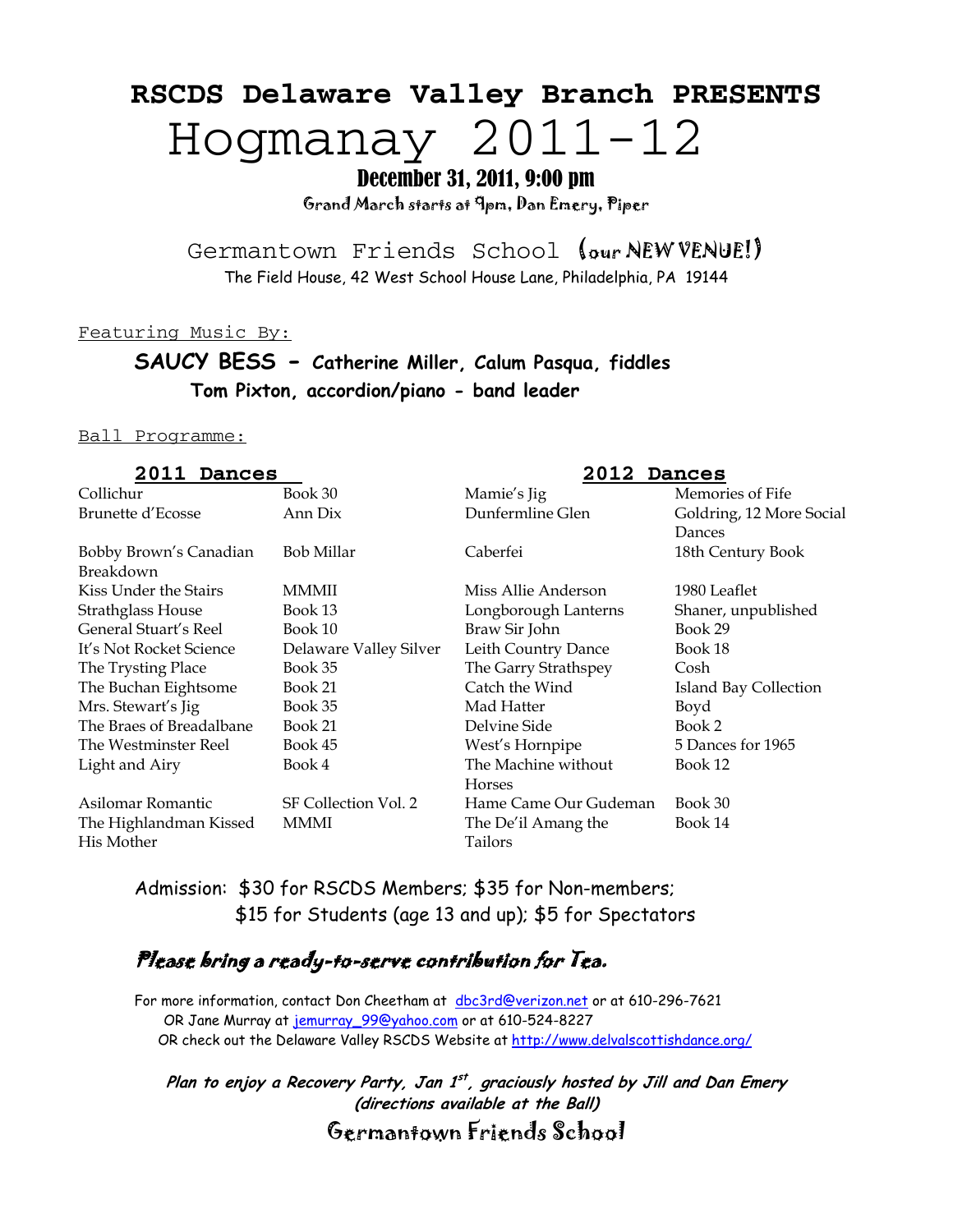# **RSCDS Delaware Valley Branch PRESENTS**  Hogmanay 2011-12

December 31, 2011, 9:00 pm

Grand March starts at 9pm, Dan Emery, Piper

Germantown Friends School (our NEW VENUE!) The Field House, 42 West School House Lane, Philadelphia, PA 19144

Featuring Music By:

# **SAUCY BESS - Catherine Miller, Calum Pasqua, fiddles Tom Pixton, accordion/piano - band leader**

#### Ball Programme:

| 2011<br><b>Dances</b>    |                        | 2012<br><b>Dances</b> |                          |
|--------------------------|------------------------|-----------------------|--------------------------|
| Collichur                | Book 30                | Mamie's Jig           | Memories of Fife         |
| Brunette d'Ecosse        | Ann Dix                | Dunfermline Glen      | Goldring, 12 More Social |
|                          |                        |                       | Dances                   |
| Bobby Brown's Canadian   | Bob Millar             | Caberfei              | 18th Century Book        |
| Breakdown                |                        |                       |                          |
| Kiss Under the Stairs    | MMMII                  | Miss Allie Anderson   | 1980 Leaflet             |
| <b>Strathglass House</b> | Book 13                | Longborough Lanterns  | Shaner, unpublished      |
| General Stuart's Reel    | Book 10                | Braw Sir John         | Book 29                  |
| It's Not Rocket Science  | Delaware Valley Silver | Leith Country Dance   | Book 18                  |
| The Trysting Place       | Book 35                | The Garry Strathspey  | Cosh                     |
| The Buchan Eightsome     | Book 21                | Catch the Wind        | Island Bay Collection    |
| Mrs. Stewart's Jig       | Book 35                | Mad Hatter            | Boyd                     |
| The Braes of Breadalbane | Book 21                | Delvine Side          | Book 2                   |
| The Westminster Reel     | Book 45                | West's Hornpipe       | 5 Dances for 1965        |
| Light and Airy           | Book 4                 | The Machine without   | Book 12                  |
|                          |                        | Horses                |                          |
| Asilomar Romantic        | SF Collection Vol. 2   | Hame Came Our Gudeman | Book 30                  |
| The Highlandman Kissed   | MMMI                   | The De'il Amang the   | Book 14                  |
| His Mother               |                        | Tailors               |                          |
|                          |                        |                       |                          |

Admission: \$30 for RSCDS Members; \$35 for Non-members; \$15 for Students (age 13 and up); \$5 for Spectators

# Please bring a ready-to-serve contribution for Tea.

For more information, contact Don Cheetham at [dbc3rd@verizon.net](mailto:dbc3rd@verizon.net) or at 610-296-7621 OR Jane Murray at [jemurray\\_99@yahoo.com](mailto:jemurray_99@yahoo.com) or at 610-524-8227 OR check out the Delaware Valley RSCDS Website at<http://www.delvalscottishdance.org/>

**Plan to enjoy a Recovery Party, Jan 1st , graciously hosted by Jill and Dan Emery (directions available at the Ball)**

Germantown Friends School